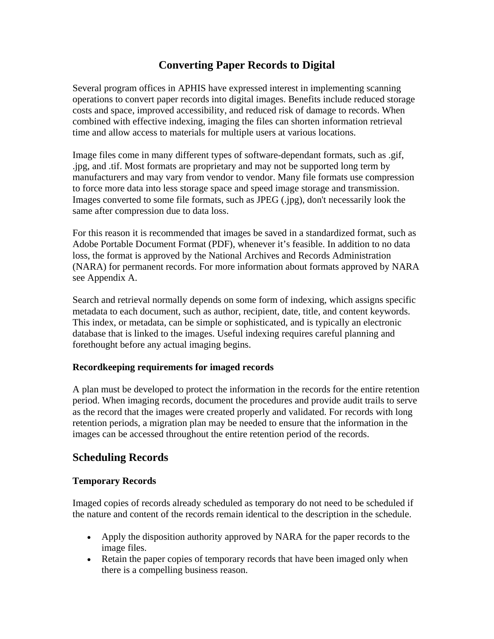# **Converting Paper Records to Digital**

Several program offices in APHIS have expressed interest in implementing scanning operations to convert paper records into digital images. Benefits include reduced storage costs and space, improved accessibility, and reduced risk of damage to records. When combined with effective indexing, imaging the files can shorten information retrieval time and allow access to materials for multiple users at various locations.

Image files come in many different types of software-dependant formats, such as .gif, .jpg, and .tif. Most formats are proprietary and may not be supported long term by manufacturers and may vary from vendor to vendor. Many file formats use compression to force more data into less storage space and speed image storage and transmission. Images converted to some file formats, such as JPEG (.jpg), don't necessarily look the same after compression due to data loss.

For this reason it is recommended that images be saved in a standardized format, such as Adobe Portable Document Format (PDF), whenever it's feasible. In addition to no data loss, the format is approved by the National Archives and Records Administration (NARA) for permanent records. For more information about formats approved by NARA see Appendix A.

Search and retrieval normally depends on some form of indexing, which assigns specific metadata to each document, such as author, recipient, date, title, and content keywords. This index, or metadata, can be simple or sophisticated, and is typically an electronic database that is linked to the images. Useful indexing requires careful planning and forethought before any actual imaging begins.

## **Recordkeeping requirements for imaged records**

A plan must be developed to protect the information in the records for the entire retention period. When imaging records, document the procedures and provide audit trails to serve as the record that the images were created properly and validated. For records with long retention periods, a migration plan may be needed to ensure that the information in the images can be accessed throughout the entire retention period of the records.

# **Scheduling Records**

## **Temporary Records**

Imaged copies of records already scheduled as temporary do not need to be scheduled if the nature and content of the records remain identical to the description in the schedule.

- Apply the disposition authority approved by NARA for the paper records to the image files.
- Retain the paper copies of temporary records that have been imaged only when there is a compelling business reason.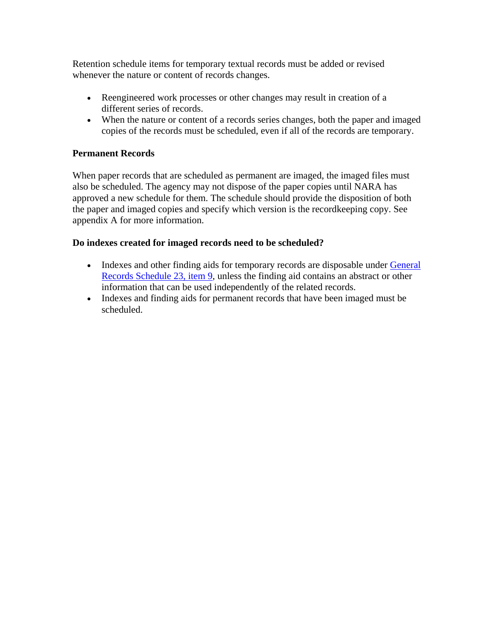Retention schedule items for temporary textual records must be added or revised whenever the nature or content of records changes.

- Reengineered work processes or other changes may result in creation of a different series of records.
- When the nature or content of a records series changes, both the paper and imaged copies of the records must be scheduled, even if all of the records are temporary.

## **Permanent Records**

When paper records that are scheduled as permanent are imaged, the imaged files must also be scheduled. The agency may not dispose of the paper copies until NARA has approved a new schedule for them. The schedule should provide the disposition of both the paper and imaged copies and specify which version is the recordkeeping copy. See appendix A for more information.

#### **Do indexes created for imaged records need to be scheduled?**

- Indexes and other finding aids for temporary records are disposable under [General](https://www.archives.gov/records-mgmt/grs.html) [Records Schedule 23, item 9,](https://www.archives.gov/records-mgmt/grs.html) unless the finding aid contains an abstract or other information that can be used independently of the related records.
- Indexes and finding aids for permanent records that have been imaged must be scheduled.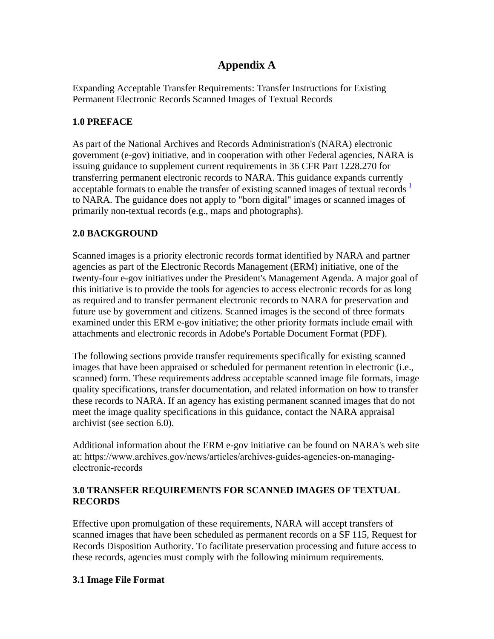# **Appendix A**

Expanding Acceptable Transfer Requirements: Transfer Instructions for Existing Permanent Electronic Records Scanned Images of Textual Records

# **1.0 PREFACE**

As part of the National Archives and Records Administration's (NARA) electronic government (e-gov) initiative, and in cooperation with other Federal agencies, NARA is issuing guidance to supplement current requirements in 36 CFR Part 1228.270 for transferring permanent electronic records to NARA. This guidance expands currently acceptable formats to enable the transfer of existing scanned images of textual records  $\frac{1}{2}$  $\frac{1}{2}$  $\frac{1}{2}$ to NARA. The guidance does not apply to "born digital" images or scanned images of primarily non-textual records (e.g., maps and photographs).

# **2.0 BACKGROUND**

Scanned images is a priority electronic records format identified by NARA and partner agencies as part of the Electronic Records Management (ERM) initiative, one of the twenty-four e-gov initiatives under the President's Management Agenda. A major goal of this initiative is to provide the tools for agencies to access electronic records for as long as required and to transfer permanent electronic records to NARA for preservation and future use by government and citizens. Scanned images is the second of three formats examined under this ERM e-gov initiative; the other priority formats include email with attachments and electronic records in Adobe's Portable Document Format (PDF).

The following sections provide transfer requirements specifically for existing scanned images that have been appraised or scheduled for permanent retention in electronic (i.e., scanned) form. These requirements address acceptable scanned image file formats, image quality specifications, transfer documentation, and related information on how to transfer these records to NARA. If an agency has existing permanent scanned images that do not meet the image quality specifications in this guidance, contact the NARA appraisal archivist (see section 6.0).

Additional information about the ERM e-gov initiative can be found on NARA's web site at: https://www.archives.gov/news/articles/archives-guides-agencies-on-managingelectronic-records

# **3.0 TRANSFER REQUIREMENTS FOR SCANNED IMAGES OF TEXTUAL RECORDS**

Effective upon promulgation of these requirements, NARA will accept transfers of scanned images that have been scheduled as permanent records on a SF 115, Request for Records Disposition Authority. To facilitate preservation processing and future access to these records, agencies must comply with the following minimum requirements.

## **3.1 Image File Format**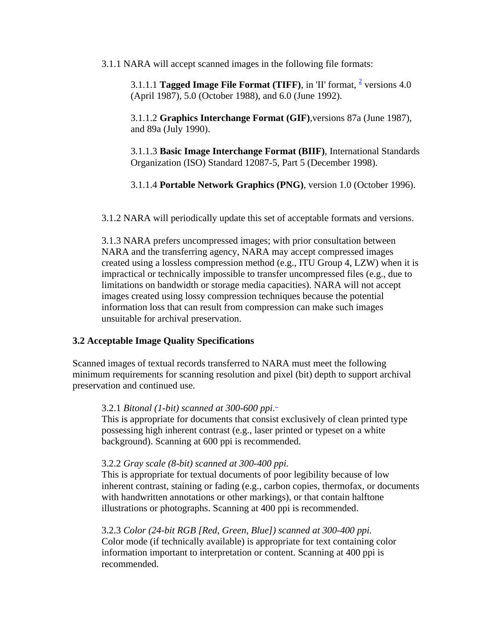3.1.1 NARA will accept scanned images in the following file formats:

3.1.1.1 **Tagged Image File Format (TIFF)**, in 'II' format,  $\frac{2}{7}$  $\frac{2}{7}$  $\frac{2}{7}$  versions 4.0 (April 1987), 5.0 (October 1988), and 6.0 (June 1992).

3.1.1.2 **Graphics Interchange Format (GIF)**,versions 87a (June 1987), and 89a (July 1990).

3.1.1.3 **Basic Image Interchange Format (BIIF)**, International Standards Organization (ISO) Standard 12087-5, Part 5 (December 1998).

3.1.1.4 **Portable Network Graphics (PNG)**, version 1.0 (October 1996).

3.1.2 NARA will periodically update this set of acceptable formats and versions.

3.1.3 NARA prefers uncompressed images; with prior consultation between NARA and the transferring agency, NARA may accept compressed images created using a lossless compression method (e.g., ITU Group 4, LZW) when it is impractical or technically impossible to transfer uncompressed files (e.g., due to limitations on bandwidth or storage media capacities). NARA will not accept images created using lossy compression techniques because the potential information loss that can result from compression can make such images unsuitable for archival preservation.

#### **3.2 Acceptable Image Quality Specifications**

Scanned images of textual records transferred to NARA must meet the following minimum requirements for scanning resolution and pixel (bit) depth to support archival preservation and continued use.

#### 3.2.1 *Bitonal (1-bit) scanned at 300-600 ppi*.

This is appropriate for documents that consist exclusively of clean printed type possessing high inherent contrast (e.g., laser printed or typeset on a white background). Scanning at 600 ppi is recommended.

#### 3.2.2 *Gray scale (8-bit) scanned at 300-400 ppi.*

This is appropriate for textual documents of poor legibility because of low inherent contrast, staining or fading (e.g., carbon copies, thermofax, or documents with handwritten annotations or other markings), or that contain halftone illustrations or photographs. Scanning at 400 ppi is recommended.

3.2.3 *Color (24-bit RGB [Red, Green, Blue]) scanned at 300-400 ppi.* Color mode (if technically available) is appropriate for text containing color information important to interpretation or content. Scanning at 400 ppi is recommended.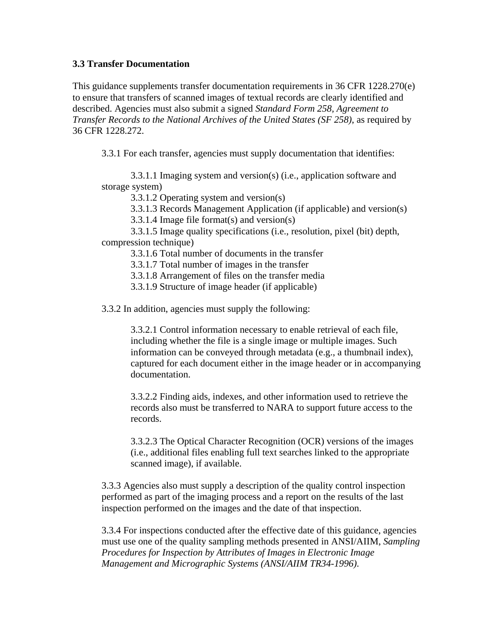#### **3.3 Transfer Documentation**

This guidance supplements transfer documentation requirements in 36 CFR 1228.270(e) to ensure that transfers of scanned images of textual records are clearly identified and described. Agencies must also submit a signed *Standard Form 258, Agreement to Transfer Records to the National Archives of the United States (SF 258)*, as required by 36 CFR 1228.272.

3.3.1 For each transfer, agencies must supply documentation that identifies:

 3.3.1.1 Imaging system and version(s) (i.e., application software and storage system)

3.3.1.2 Operating system and version(s)

3.3.1.3 Records Management Application (if applicable) and version(s)

3.3.1.4 Image file format(s) and version(s)

 3.3.1.5 Image quality specifications (i.e., resolution, pixel (bit) depth, compression technique)

3.3.1.6 Total number of documents in the transfer

3.3.1.7 Total number of images in the transfer

3.3.1.8 Arrangement of files on the transfer media

3.3.1.9 Structure of image header (if applicable)

3.3.2 In addition, agencies must supply the following:

3.3.2.1 Control information necessary to enable retrieval of each file, including whether the file is a single image or multiple images. Such information can be conveyed through metadata (e.g., a thumbnail index), captured for each document either in the image header or in accompanying documentation.

3.3.2.2 Finding aids, indexes, and other information used to retrieve the records also must be transferred to NARA to support future access to the records.

3.3.2.3 The Optical Character Recognition (OCR) versions of the images (i.e., additional files enabling full text searches linked to the appropriate scanned image), if available.

3.3.3 Agencies also must supply a description of the quality control inspection performed as part of the imaging process and a report on the results of the last inspection performed on the images and the date of that inspection.

3.3.4 For inspections conducted after the effective date of this guidance, agencies must use one of the quality sampling methods presented in ANSI/AIIM, *Sampling Procedures for Inspection by Attributes of Images in Electronic Image Management and Micrographic Systems (ANSI/AIIM TR34-1996)*.